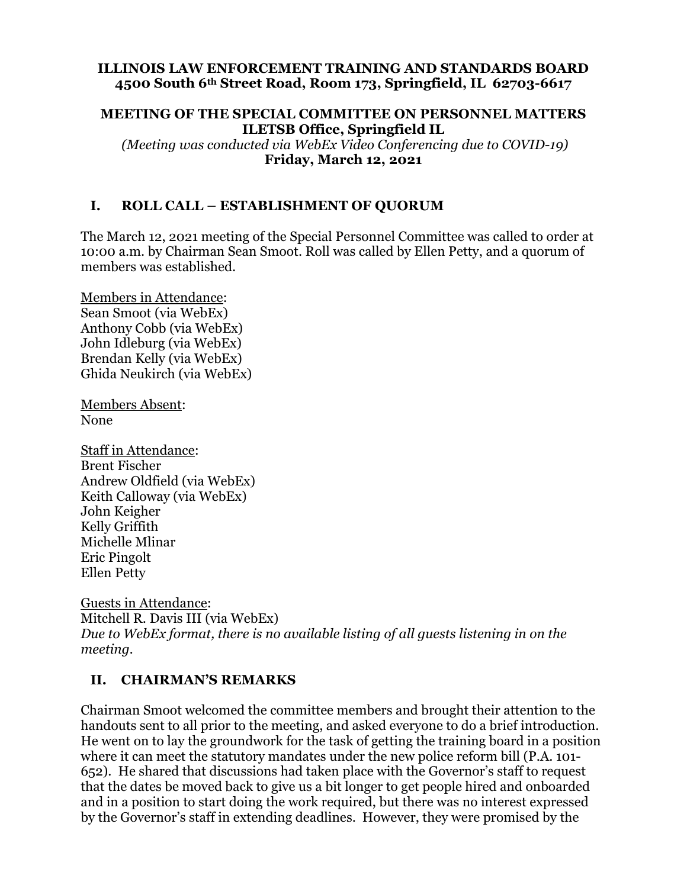#### **ILLINOIS LAW ENFORCEMENT TRAINING AND STANDARDS BOARD 4500 South 6th Street Road, Room 173, Springfield, IL 62703-6617**

#### **MEETING OF THE SPECIAL COMMITTEE ON PERSONNEL MATTERS ILETSB Office, Springfield IL**

 *(Meeting was conducted via WebEx Video Conferencing due to COVID-19)*  **Friday, March 12, 2021** 

### **I. ROLL CALL – ESTABLISHMENT OF QUORUM**

The March 12, 2021 meeting of the Special Personnel Committee was called to order at 10:00 a.m. by Chairman Sean Smoot. Roll was called by Ellen Petty, and a quorum of members was established.

Members in Attendance: Sean Smoot (via WebEx) Anthony Cobb (via WebEx) John Idleburg (via WebEx) Brendan Kelly (via WebEx) Ghida Neukirch (via WebEx)

Members Absent: None

Staff in Attendance: Brent Fischer Andrew Oldfield (via WebEx) Keith Calloway (via WebEx) John Keigher Kelly Griffith Michelle Mlinar Eric Pingolt Ellen Petty

Guests in Attendance: Mitchell R. Davis III (via WebEx) *Due to WebEx format, there is no available listing of all guests listening in on the meeting.* 

### **II. CHAIRMAN'S REMARKS**

Chairman Smoot welcomed the committee members and brought their attention to the handouts sent to all prior to the meeting, and asked everyone to do a brief introduction. He went on to lay the groundwork for the task of getting the training board in a position where it can meet the statutory mandates under the new police reform bill (P.A. 101- 652). He shared that discussions had taken place with the Governor's staff to request that the dates be moved back to give us a bit longer to get people hired and onboarded and in a position to start doing the work required, but there was no interest expressed by the Governor's staff in extending deadlines. However, they were promised by the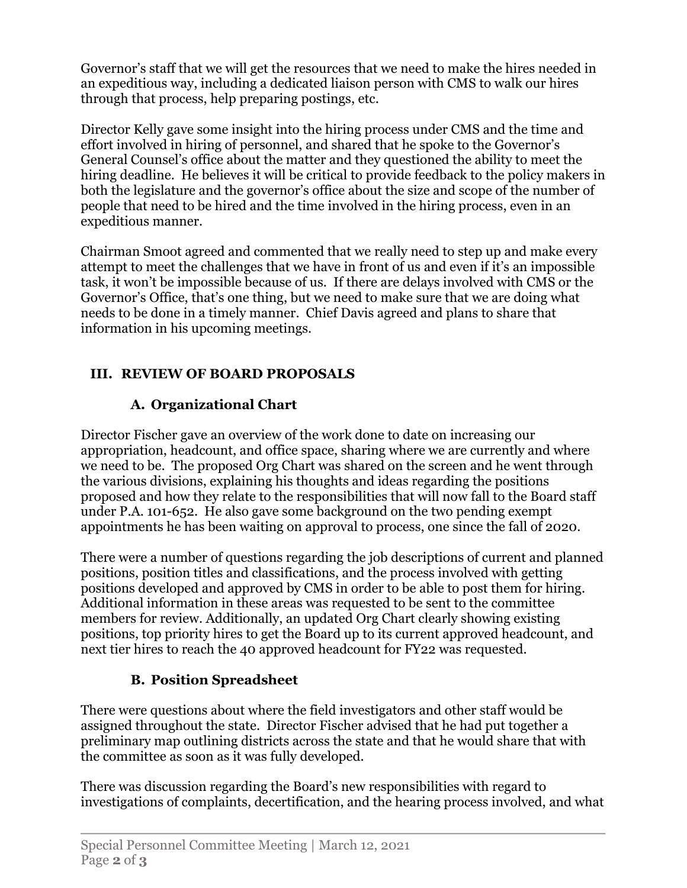Governor's staff that we will get the resources that we need to make the hires needed in an expeditious way, including a dedicated liaison person with CMS to walk our hires through that process, help preparing postings, etc.

Director Kelly gave some insight into the hiring process under CMS and the time and effort involved in hiring of personnel, and shared that he spoke to the Governor's General Counsel's office about the matter and they questioned the ability to meet the hiring deadline. He believes it will be critical to provide feedback to the policy makers in both the legislature and the governor's office about the size and scope of the number of people that need to be hired and the time involved in the hiring process, even in an expeditious manner.

Chairman Smoot agreed and commented that we really need to step up and make every attempt to meet the challenges that we have in front of us and even if it's an impossible task, it won't be impossible because of us. If there are delays involved with CMS or the Governor's Office, that's one thing, but we need to make sure that we are doing what needs to be done in a timely manner. Chief Davis agreed and plans to share that information in his upcoming meetings.

# **III. REVIEW OF BOARD PROPOSALS**

# **A. Organizational Chart**

Director Fischer gave an overview of the work done to date on increasing our appropriation, headcount, and office space, sharing where we are currently and where we need to be. The proposed Org Chart was shared on the screen and he went through the various divisions, explaining his thoughts and ideas regarding the positions proposed and how they relate to the responsibilities that will now fall to the Board staff under P.A. 101-652. He also gave some background on the two pending exempt appointments he has been waiting on approval to process, one since the fall of 2020.

There were a number of questions regarding the job descriptions of current and planned positions, position titles and classifications, and the process involved with getting positions developed and approved by CMS in order to be able to post them for hiring. Additional information in these areas was requested to be sent to the committee members for review. Additionally, an updated Org Chart clearly showing existing positions, top priority hires to get the Board up to its current approved headcount, and next tier hires to reach the 40 approved headcount for FY22 was requested.

# **B. Position Spreadsheet**

There were questions about where the field investigators and other staff would be assigned throughout the state. Director Fischer advised that he had put together a preliminary map outlining districts across the state and that he would share that with the committee as soon as it was fully developed.

There was discussion regarding the Board's new responsibilities with regard to investigations of complaints, decertification, and the hearing process involved, and what